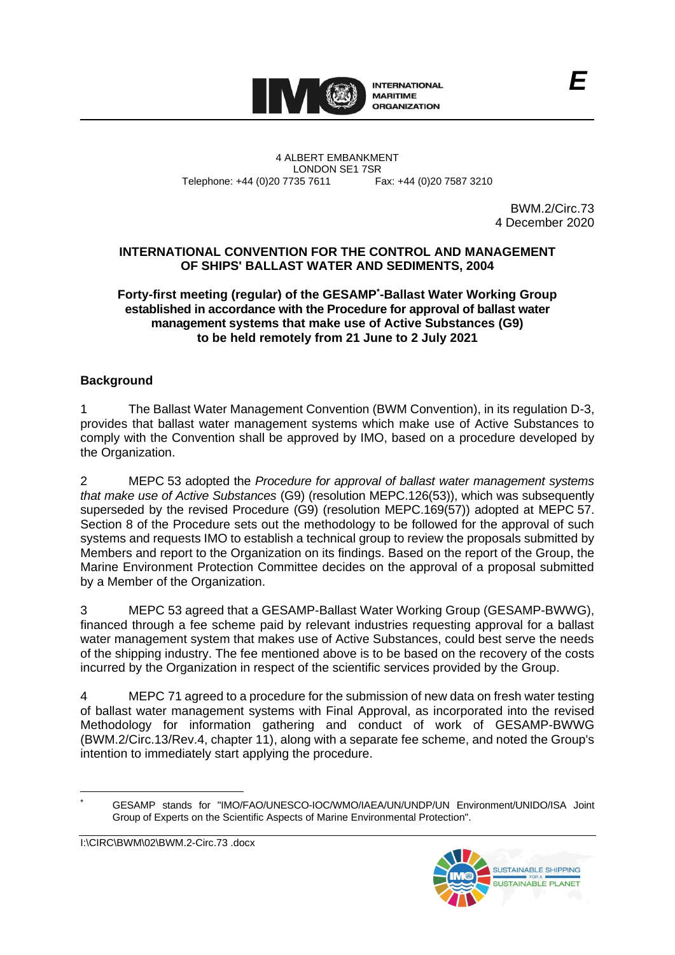

4 ALBERT EMBANKMENT Telephone: +44 (0)20 7735 7611

LONDON SE1 7SR<br>735 7611 Fax: +44 (0)20 7587 3210

BWM.2/Circ.73 4 December 2020

## **INTERNATIONAL CONVENTION FOR THE CONTROL AND MANAGEMENT OF SHIPS' BALLAST WATER AND SEDIMENTS, 2004**

**Forty-first meeting (regular) of the GESAMP\* -Ballast Water Working Group established in accordance with the Procedure for approval of ballast water management systems that make use of Active Substances (G9) to be held remotely from 21 June to 2 July 2021**

## **Background**

1 The Ballast Water Management Convention (BWM Convention), in its regulation D-3, provides that ballast water management systems which make use of Active Substances to comply with the Convention shall be approved by IMO, based on a procedure developed by the Organization.

2 MEPC 53 adopted the *Procedure for approval of ballast water management systems that make use of Active Substances* (G9) (resolution MEPC.126(53)), which was subsequently superseded by the revised Procedure (G9) (resolution MEPC.169(57)) adopted at MEPC 57. Section 8 of the Procedure sets out the methodology to be followed for the approval of such systems and requests IMO to establish a technical group to review the proposals submitted by Members and report to the Organization on its findings. Based on the report of the Group, the Marine Environment Protection Committee decides on the approval of a proposal submitted by a Member of the Organization.

3 MEPC 53 agreed that a GESAMP-Ballast Water Working Group (GESAMP-BWWG), financed through a fee scheme paid by relevant industries requesting approval for a ballast water management system that makes use of Active Substances, could best serve the needs of the shipping industry. The fee mentioned above is to be based on the recovery of the costs incurred by the Organization in respect of the scientific services provided by the Group.

4 MEPC 71 agreed to a procedure for the submission of new data on fresh water testing of ballast water management systems with Final Approval, as incorporated into the revised Methodology for information gathering and conduct of work of GESAMP-BWWG (BWM.2/Circ.13/Rev.4, chapter 11), along with a separate fee scheme, and noted the Group's intention to immediately start applying the procedure.

I:\CIRC\BWM\02\BWM.2-Circ.73 .docx



<sup>\*</sup> GESAMP stands for "IMO/FAO/UNESCO-IOC/WMO/IAEA/UN/UNDP/UN Environment/UNIDO/ISA Joint Group of Experts on the Scientific Aspects of Marine Environmental Protection".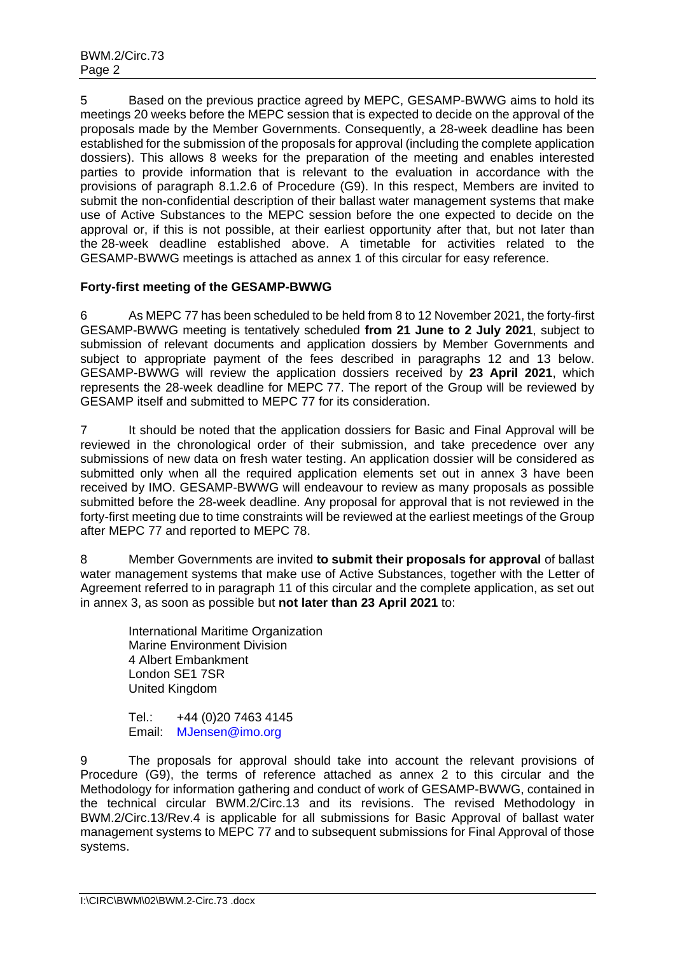5 Based on the previous practice agreed by MEPC, GESAMP-BWWG aims to hold its meetings 20 weeks before the MEPC session that is expected to decide on the approval of the proposals made by the Member Governments. Consequently, a 28-week deadline has been established for the submission of the proposals for approval (including the complete application dossiers). This allows 8 weeks for the preparation of the meeting and enables interested parties to provide information that is relevant to the evaluation in accordance with the provisions of paragraph 8.1.2.6 of Procedure (G9). In this respect, Members are invited to submit the non-confidential description of their ballast water management systems that make use of Active Substances to the MEPC session before the one expected to decide on the approval or, if this is not possible, at their earliest opportunity after that, but not later than the 28-week deadline established above. A timetable for activities related to the GESAMP-BWWG meetings is attached as annex 1 of this circular for easy reference.

## **Forty-first meeting of the GESAMP-BWWG**

6 As MEPC 77 has been scheduled to be held from 8 to 12 November 2021, the forty-first GESAMP-BWWG meeting is tentatively scheduled **from 21 June to 2 July 2021**, subject to submission of relevant documents and application dossiers by Member Governments and subject to appropriate payment of the fees described in paragraphs 12 and 13 below. GESAMP-BWWG will review the application dossiers received by **23 April 2021**, which represents the 28-week deadline for MEPC 77. The report of the Group will be reviewed by GESAMP itself and submitted to MEPC 77 for its consideration.

7 It should be noted that the application dossiers for Basic and Final Approval will be reviewed in the chronological order of their submission, and take precedence over any submissions of new data on fresh water testing. An application dossier will be considered as submitted only when all the required application elements set out in annex 3 have been received by IMO. GESAMP-BWWG will endeavour to review as many proposals as possible submitted before the 28-week deadline. Any proposal for approval that is not reviewed in the forty-first meeting due to time constraints will be reviewed at the earliest meetings of the Group after MEPC 77 and reported to MEPC 78.

8 Member Governments are invited **to submit their proposals for approval** of ballast water management systems that make use of Active Substances, together with the Letter of Agreement referred to in paragraph 11 of this circular and the complete application, as set out in annex 3, as soon as possible but **not later than 23 April 2021** to:

International Maritime Organization Marine Environment Division 4 Albert Embankment London SE1 7SR United Kingdom

Tel.: +44 (0)20 7463 4145 Email: [MJensen@imo.org](mailto:MJensen@imo.org)

9 The proposals for approval should take into account the relevant provisions of Procedure (G9), the terms of reference attached as annex 2 to this circular and the Methodology for information gathering and conduct of work of GESAMP-BWWG, contained in the technical circular BWM.2/Circ.13 and its revisions. The revised Methodology in BWM.2/Circ.13/Rev.4 is applicable for all submissions for Basic Approval of ballast water management systems to MEPC 77 and to subsequent submissions for Final Approval of those systems.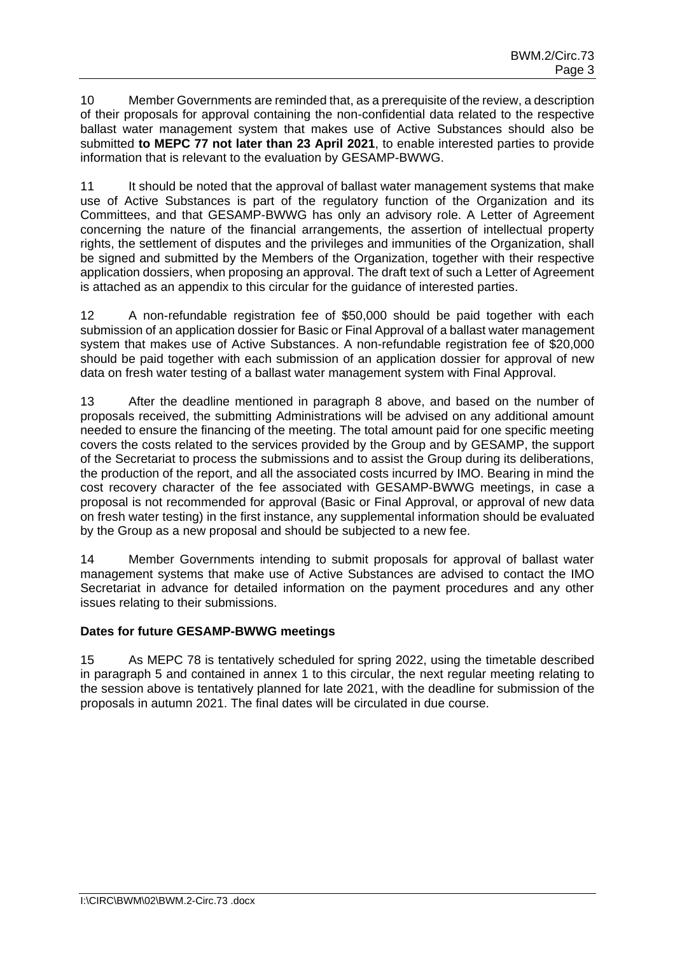10 Member Governments are reminded that, as a prerequisite of the review, a description of their proposals for approval containing the non-confidential data related to the respective ballast water management system that makes use of Active Substances should also be submitted **to MEPC 77 not later than 23 April 2021**, to enable interested parties to provide information that is relevant to the evaluation by GESAMP-BWWG.

11 It should be noted that the approval of ballast water management systems that make use of Active Substances is part of the regulatory function of the Organization and its Committees, and that GESAMP-BWWG has only an advisory role. A Letter of Agreement concerning the nature of the financial arrangements, the assertion of intellectual property rights, the settlement of disputes and the privileges and immunities of the Organization, shall be signed and submitted by the Members of the Organization, together with their respective application dossiers, when proposing an approval. The draft text of such a Letter of Agreement is attached as an appendix to this circular for the guidance of interested parties.

12 A non-refundable registration fee of \$50,000 should be paid together with each submission of an application dossier for Basic or Final Approval of a ballast water management system that makes use of Active Substances. A non-refundable registration fee of \$20,000 should be paid together with each submission of an application dossier for approval of new data on fresh water testing of a ballast water management system with Final Approval.

13 After the deadline mentioned in paragraph 8 above, and based on the number of proposals received, the submitting Administrations will be advised on any additional amount needed to ensure the financing of the meeting. The total amount paid for one specific meeting covers the costs related to the services provided by the Group and by GESAMP, the support of the Secretariat to process the submissions and to assist the Group during its deliberations, the production of the report, and all the associated costs incurred by IMO. Bearing in mind the cost recovery character of the fee associated with GESAMP-BWWG meetings, in case a proposal is not recommended for approval (Basic or Final Approval, or approval of new data on fresh water testing) in the first instance, any supplemental information should be evaluated by the Group as a new proposal and should be subjected to a new fee.

14 Member Governments intending to submit proposals for approval of ballast water management systems that make use of Active Substances are advised to contact the IMO Secretariat in advance for detailed information on the payment procedures and any other issues relating to their submissions.

# **Dates for future GESAMP-BWWG meetings**

15 As MEPC 78 is tentatively scheduled for spring 2022, using the timetable described in paragraph 5 and contained in annex 1 to this circular, the next regular meeting relating to the session above is tentatively planned for late 2021, with the deadline for submission of the proposals in autumn 2021. The final dates will be circulated in due course.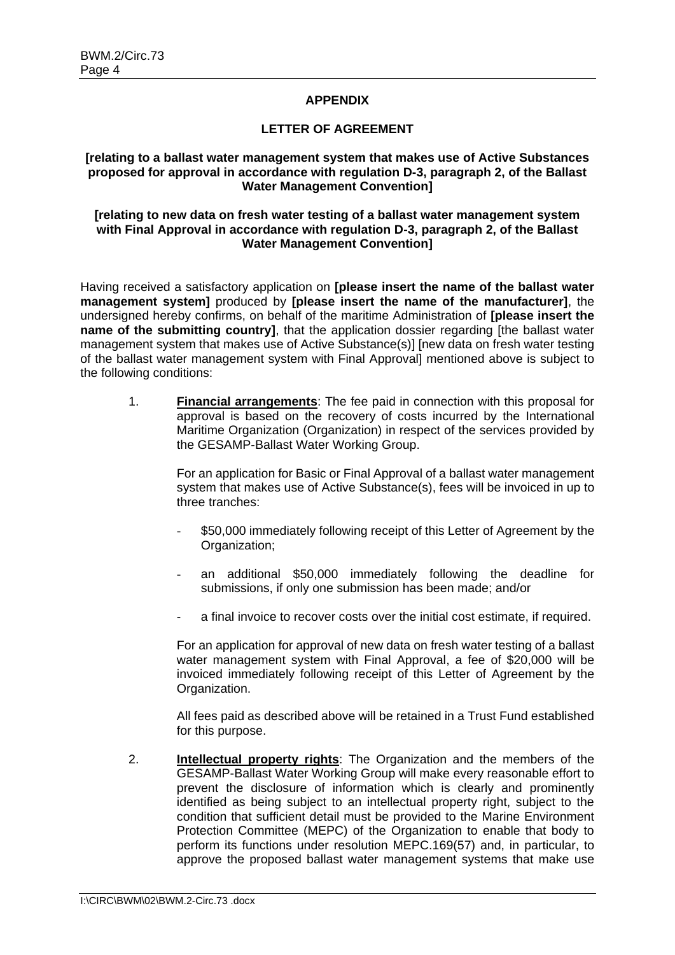### **APPENDIX**

#### **LETTER OF AGREEMENT**

#### **[relating to a ballast water management system that makes use of Active Substances proposed for approval in accordance with regulation D-3, paragraph 2, of the Ballast Water Management Convention]**

#### **[relating to new data on fresh water testing of a ballast water management system with Final Approval in accordance with regulation D-3, paragraph 2, of the Ballast Water Management Convention]**

Having received a satisfactory application on **[please insert the name of the ballast water management system]** produced by **[please insert the name of the manufacturer]**, the undersigned hereby confirms, on behalf of the maritime Administration of **[please insert the name of the submitting country]**, that the application dossier regarding [the ballast water management system that makes use of Active Substance(s)] [new data on fresh water testing of the ballast water management system with Final Approval] mentioned above is subject to the following conditions:

1. **Financial arrangements**: The fee paid in connection with this proposal for approval is based on the recovery of costs incurred by the International Maritime Organization (Organization) in respect of the services provided by the GESAMP-Ballast Water Working Group.

> For an application for Basic or Final Approval of a ballast water management system that makes use of Active Substance(s), fees will be invoiced in up to three tranches:

- \$50,000 immediately following receipt of this Letter of Agreement by the Organization:
- an additional \$50,000 immediately following the deadline for submissions, if only one submission has been made; and/or
- a final invoice to recover costs over the initial cost estimate, if required.

For an application for approval of new data on fresh water testing of a ballast water management system with Final Approval, a fee of \$20,000 will be invoiced immediately following receipt of this Letter of Agreement by the Organization.

All fees paid as described above will be retained in a Trust Fund established for this purpose.

2. **Intellectual property rights**: The Organization and the members of the GESAMP-Ballast Water Working Group will make every reasonable effort to prevent the disclosure of information which is clearly and prominently identified as being subject to an intellectual property right, subject to the condition that sufficient detail must be provided to the Marine Environment Protection Committee (MEPC) of the Organization to enable that body to perform its functions under resolution MEPC.169(57) and, in particular, to approve the proposed ballast water management systems that make use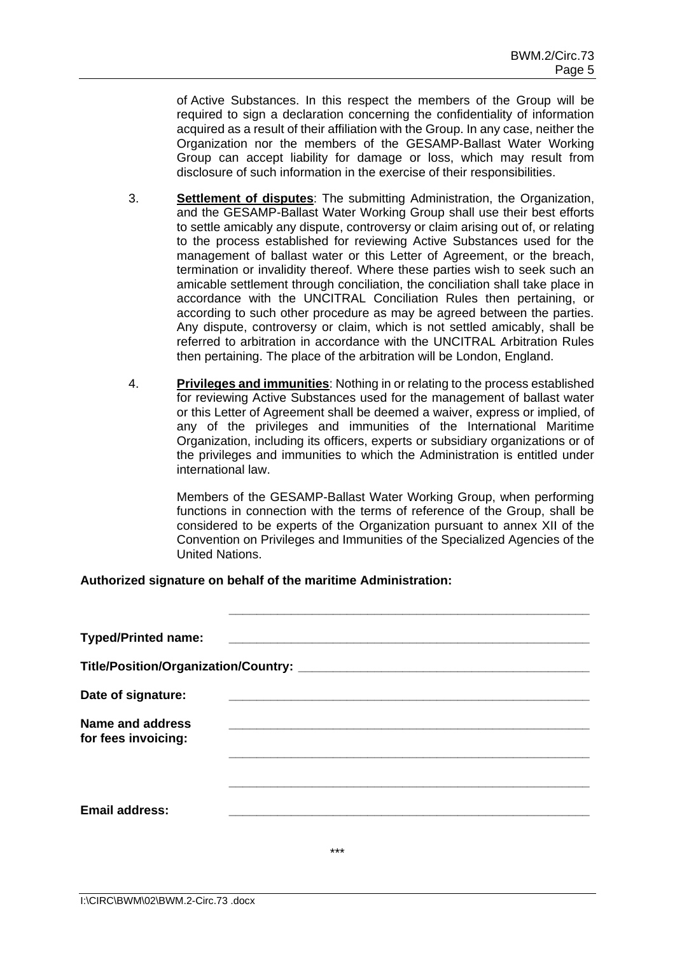of Active Substances. In this respect the members of the Group will be required to sign a declaration concerning the confidentiality of information acquired as a result of their affiliation with the Group. In any case, neither the Organization nor the members of the GESAMP-Ballast Water Working Group can accept liability for damage or loss, which may result from disclosure of such information in the exercise of their responsibilities.

- 3. **Settlement of disputes**: The submitting Administration, the Organization, and the GESAMP-Ballast Water Working Group shall use their best efforts to settle amicably any dispute, controversy or claim arising out of, or relating to the process established for reviewing Active Substances used for the management of ballast water or this Letter of Agreement, or the breach, termination or invalidity thereof. Where these parties wish to seek such an amicable settlement through conciliation, the conciliation shall take place in accordance with the UNCITRAL Conciliation Rules then pertaining, or according to such other procedure as may be agreed between the parties. Any dispute, controversy or claim, which is not settled amicably, shall be referred to arbitration in accordance with the UNCITRAL Arbitration Rules then pertaining. The place of the arbitration will be London, England.
- 4. **Privileges and immunities**: Nothing in or relating to the process established for reviewing Active Substances used for the management of ballast water or this Letter of Agreement shall be deemed a waiver, express or implied, of any of the privileges and immunities of the International Maritime Organization, including its officers, experts or subsidiary organizations or of the privileges and immunities to which the Administration is entitled under international law.

Members of the GESAMP-Ballast Water Working Group, when performing functions in connection with the terms of reference of the Group, shall be considered to be experts of the Organization pursuant to annex XII of the Convention on Privileges and Immunities of the Specialized Agencies of the United Nations.

### **Authorized signature on behalf of the maritime Administration:**

| <b>Typed/Printed name:</b> |  |
|----------------------------|--|
|                            |  |
| Date of signature:         |  |
| <b>Name and address</b>    |  |
| for fees invoicing:        |  |
|                            |  |
| <b>Email address:</b>      |  |
|                            |  |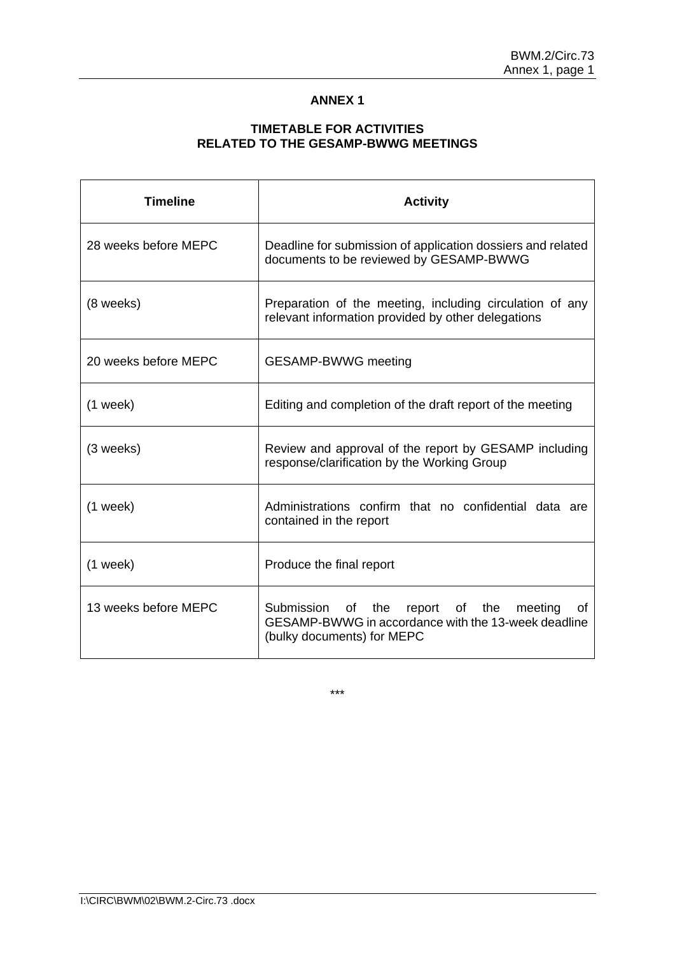# **ANNEX 1**

## **TIMETABLE FOR ACTIVITIES RELATED TO THE GESAMP-BWWG MEETINGS**

| <b>Timeline</b>      | <b>Activity</b>                                                                                                                    |
|----------------------|------------------------------------------------------------------------------------------------------------------------------------|
| 28 weeks before MEPC | Deadline for submission of application dossiers and related<br>documents to be reviewed by GESAMP-BWWG                             |
| (8 weeks)            | Preparation of the meeting, including circulation of any<br>relevant information provided by other delegations                     |
| 20 weeks before MEPC | <b>GESAMP-BWWG</b> meeting                                                                                                         |
| $(1$ week)           | Editing and completion of the draft report of the meeting                                                                          |
| (3 weeks)            | Review and approval of the report by GESAMP including<br>response/clarification by the Working Group                               |
| $(1$ week)           | Administrations confirm that no confidential data are<br>contained in the report                                                   |
| $(1$ week)           | Produce the final report                                                                                                           |
| 13 weeks before MEPC | Submission of the report of the meeting<br>οf<br>GESAMP-BWWG in accordance with the 13-week deadline<br>(bulky documents) for MEPC |

\*\*\*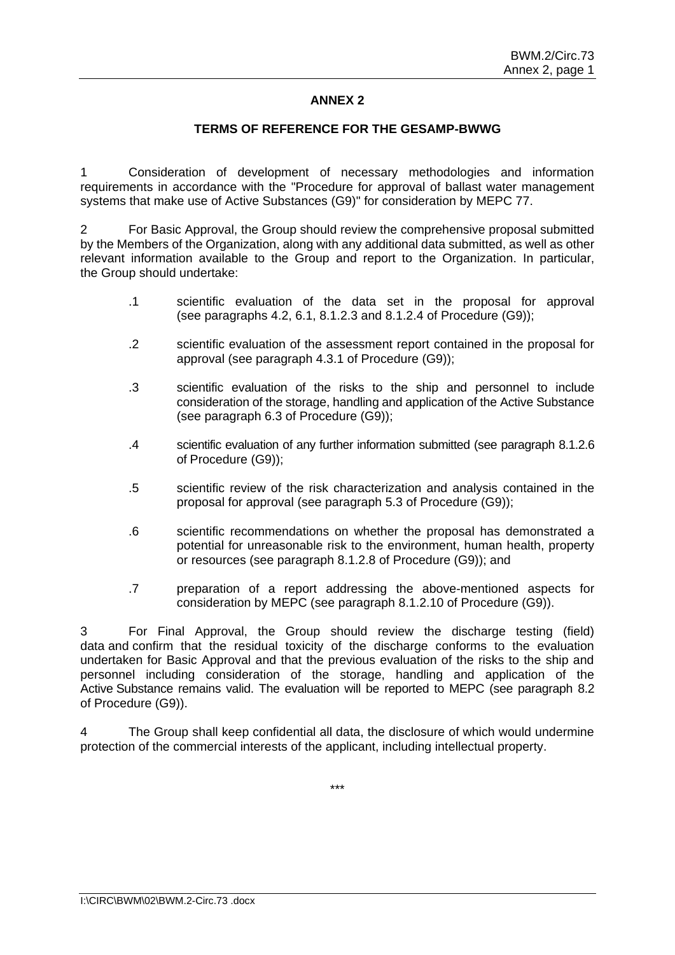### **ANNEX 2**

#### **TERMS OF REFERENCE FOR THE GESAMP-BWWG**

1 Consideration of development of necessary methodologies and information requirements in accordance with the "Procedure for approval of ballast water management systems that make use of Active Substances (G9)" for consideration by MEPC 77.

2 For Basic Approval, the Group should review the comprehensive proposal submitted by the Members of the Organization, along with any additional data submitted, as well as other relevant information available to the Group and report to the Organization. In particular, the Group should undertake:

- .1 scientific evaluation of the data set in the proposal for approval (see paragraphs 4.2, 6.1, 8.1.2.3 and 8.1.2.4 of Procedure (G9));
- .2 scientific evaluation of the assessment report contained in the proposal for approval (see paragraph 4.3.1 of Procedure (G9));
- .3 scientific evaluation of the risks to the ship and personnel to include consideration of the storage, handling and application of the Active Substance (see paragraph 6.3 of Procedure (G9));
- .4 scientific evaluation of any further information submitted (see paragraph 8.1.2.6 of Procedure (G9));
- .5 scientific review of the risk characterization and analysis contained in the proposal for approval (see paragraph 5.3 of Procedure (G9));
- .6 scientific recommendations on whether the proposal has demonstrated a potential for unreasonable risk to the environment, human health, property or resources (see paragraph 8.1.2.8 of Procedure (G9)); and
- .7 preparation of a report addressing the above-mentioned aspects for consideration by MEPC (see paragraph 8.1.2.10 of Procedure (G9)).

3 For Final Approval, the Group should review the discharge testing (field) data and confirm that the residual toxicity of the discharge conforms to the evaluation undertaken for Basic Approval and that the previous evaluation of the risks to the ship and personnel including consideration of the storage, handling and application of the Active Substance remains valid. The evaluation will be reported to MEPC (see paragraph 8.2 of Procedure (G9)).

The Group shall keep confidential all data, the disclosure of which would undermine protection of the commercial interests of the applicant, including intellectual property.

\*\*\*